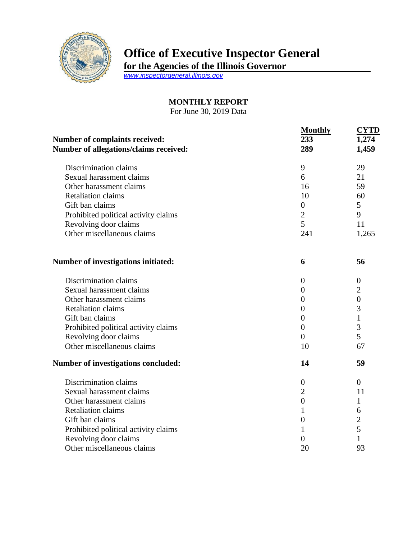

## **Office of Executive Inspector General**

**for the Agencies of the Illinois Governor**

*[www.inspectorgeneral.illinois.gov](http://www.inspectorgeneral.illinois.gov/)*

## **MONTHLY REPORT**

For June 30, 2019 Data

| Number of complaints received:         | <b>Monthly</b><br>233 | <b>CYTD</b><br>1,274 |
|----------------------------------------|-----------------------|----------------------|
| Number of allegations/claims received: | 289                   | 1,459                |
| Discrimination claims                  | 9                     | 29                   |
| Sexual harassment claims               | 6                     | 21                   |
| Other harassment claims                | 16                    | 59                   |
| <b>Retaliation claims</b>              | 10                    | 60                   |
| Gift ban claims                        | $\boldsymbol{0}$      | 5                    |
| Prohibited political activity claims   | $\overline{2}$        | 9                    |
| Revolving door claims                  | 5                     | 11                   |
| Other miscellaneous claims             | 241                   | 1,265                |
| Number of investigations initiated:    | 6                     | 56                   |
| Discrimination claims                  | $\boldsymbol{0}$      | $\boldsymbol{0}$     |
| Sexual harassment claims               | $\boldsymbol{0}$      | $\overline{2}$       |
| Other harassment claims                | $\overline{0}$        | $\boldsymbol{0}$     |
| <b>Retaliation claims</b>              | $\overline{0}$        | 3                    |
| Gift ban claims                        | $\overline{0}$        | $\mathbf{1}$         |
| Prohibited political activity claims   | $\overline{0}$        | 3                    |
| Revolving door claims                  | $\theta$              | $\overline{5}$       |
| Other miscellaneous claims             | 10                    | 67                   |
| Number of investigations concluded:    | 14                    | 59                   |
| Discrimination claims                  | $\boldsymbol{0}$      | $\theta$             |
| Sexual harassment claims               | $\overline{2}$        | 11                   |
| Other harassment claims                | $\boldsymbol{0}$      | 1                    |
| <b>Retaliation claims</b>              | 1                     | 6                    |
| Gift ban claims                        | $\overline{0}$        | $\overline{2}$       |
| Prohibited political activity claims   | 1                     | 5                    |
| Revolving door claims                  | $\overline{0}$        | $\mathbf{1}$         |
| Other miscellaneous claims             | 20                    | 93                   |